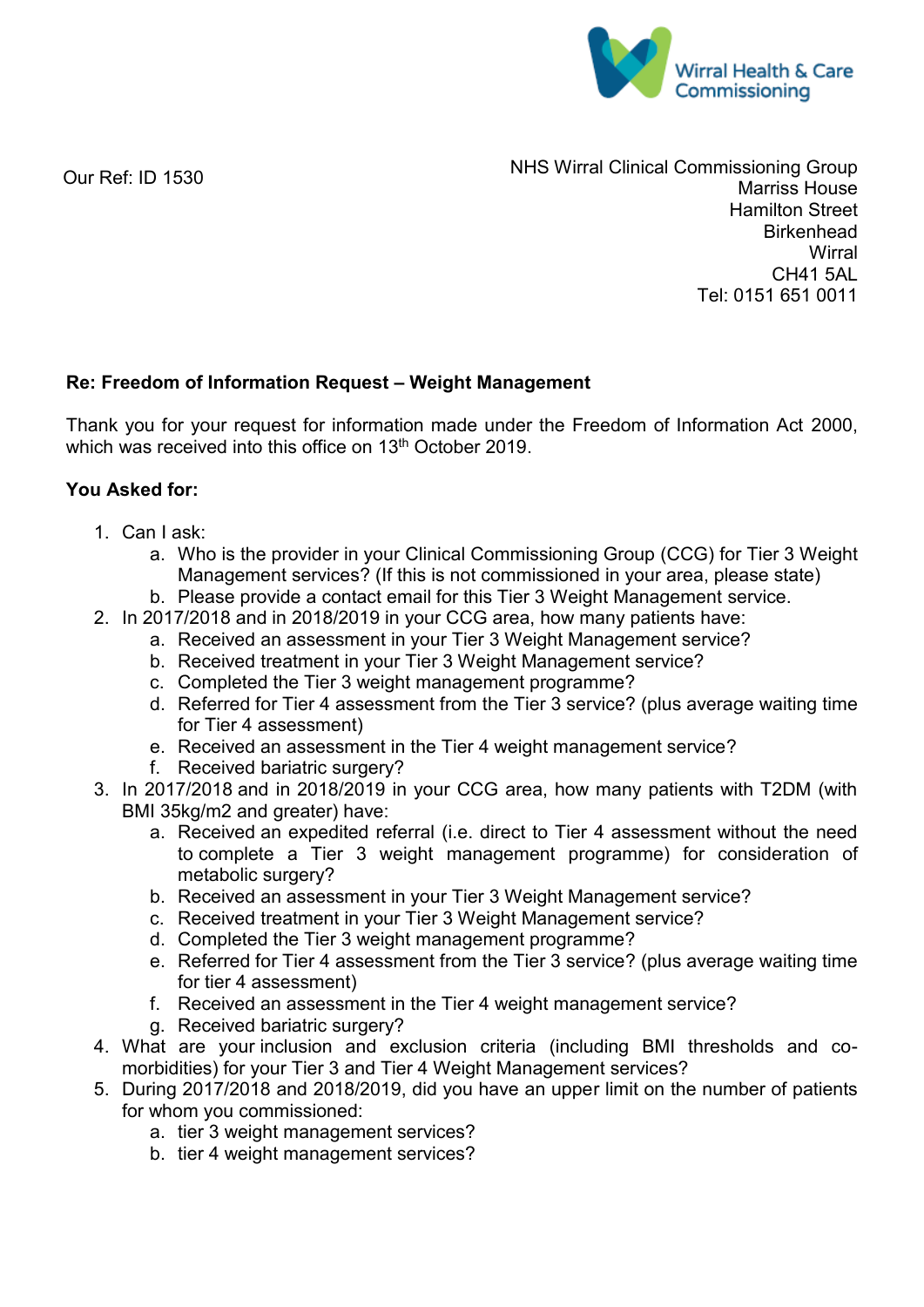

Our Ref: ID 1530

NHS Wirral Clinical Commissioning Group Marriss House Hamilton Street **Birkenhead Wirral** CH41 5AL Tel: 0151 651 0011

## **Re: Freedom of Information Request – Weight Management**

Thank you for your request for information made under the Freedom of Information Act 2000, which was received into this office on 13<sup>th</sup> October 2019.

## **You Asked for:**

- 1. Can I ask:
	- a. Who is the provider in your Clinical Commissioning Group (CCG) for Tier 3 Weight Management services? (If this is not commissioned in your area, please state)
	- b. Please provide a contact email for this Tier 3 Weight Management service.
- 2. In 2017/2018 and in 2018/2019 in your CCG area, how many patients have:
	- a. Received an assessment in your Tier 3 Weight Management service?
	- b. Received treatment in your Tier 3 Weight Management service?
	- c. Completed the Tier 3 weight management programme?
	- d. Referred for Tier 4 assessment from the Tier 3 service? (plus average waiting time for Tier 4 assessment)
	- e. Received an assessment in the Tier 4 weight management service?
	- f. Received bariatric surgery?
- 3. In 2017/2018 and in 2018/2019 in your CCG area, how many patients with T2DM (with BMI 35kg/m2 and greater) have:
	- a. Received an expedited referral (i.e. direct to Tier 4 assessment without the need to complete a Tier 3 weight management programme) for consideration of metabolic surgery?
	- b. Received an assessment in your Tier 3 Weight Management service?
	- c. Received treatment in your Tier 3 Weight Management service?
	- d. Completed the Tier 3 weight management programme?
	- e. Referred for Tier 4 assessment from the Tier 3 service? (plus average waiting time for tier 4 assessment)
	- f. Received an assessment in the Tier 4 weight management service?
	- g. Received bariatric surgery?
- 4. What are your inclusion and exclusion criteria (including BMI thresholds and comorbidities) for your Tier 3 and Tier 4 Weight Management services?
- 5. During 2017/2018 and 2018/2019, did you have an upper limit on the number of patients for whom you commissioned:
	- a. tier 3 weight management services?
	- b. tier 4 weight management services?